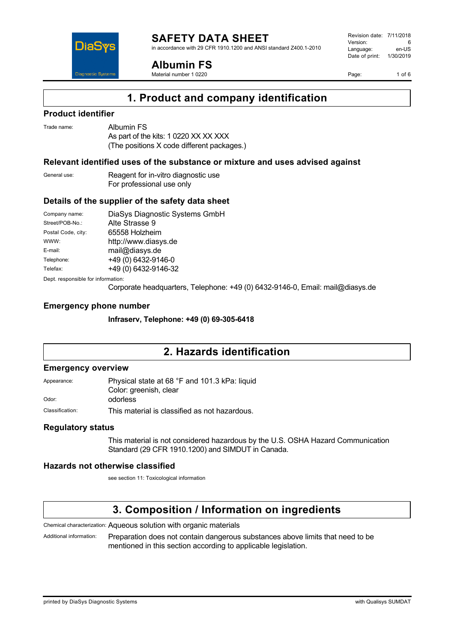

in accordance with 29 CFR 1910.1200 and ANSI standard Z400.1-2010



**Albumin FS**

Material number 1 0220

Revision date: 7/11/2018 Version: 6<br>Language: en-LIS Language: Date of print: 1/30/2019

Page: 1 of 6

## **1. Product and company identification**

#### **Product identifier**

Trade name: Albumin FS

As part of the kits: 1 0220 XX XX XXX (The positions X code different packages.)

#### **Relevant identified uses of the substance or mixture and uses advised against**

| General use: | Reagent for in-vitro diagnostic use |
|--------------|-------------------------------------|
|              | For professional use only           |

#### **Details of the supplier of the safety data sheet**

| Company name:                      | DiaSys Diagnostic Systems GmbH |  |
|------------------------------------|--------------------------------|--|
| Street/POB-No.:                    | Alte Strasse 9                 |  |
| Postal Code, city:                 | 65558 Holzheim                 |  |
| WWW:                               | http://www.diasys.de           |  |
| E-mail:                            | mail@diasys.de                 |  |
| Telephone:                         | +49 (0) 6432-9146-0            |  |
| Telefax:                           | +49 (0) 6432-9146-32           |  |
| Dept. responsible for information: |                                |  |

Corporate headquarters, Telephone: +49 (0) 6432-9146-0, Email: mail@diasys.de

#### **Emergency phone number**

**Infraserv, Telephone: +49 (0) 69-305-6418**

## **2. Hazards identification**

#### **Emergency overview**

Appearance: Physical state at 68 °F and 101.3 kPa: liquid Color: greenish, clear Odor: odorless

Classification: This material is classified as not hazardous.

#### **Regulatory status**

This material is not considered hazardous by the U.S. OSHA Hazard Communication Standard (29 CFR 1910.1200) and SIMDUT in Canada.

#### **Hazards not otherwise classified**

see section 11: Toxicological information

## **3. Composition / Information on ingredients**

Chemical characterization: Aqueous solution with organic materials

Additional information: Preparation does not contain dangerous substances above limits that need to be mentioned in this section according to applicable legislation.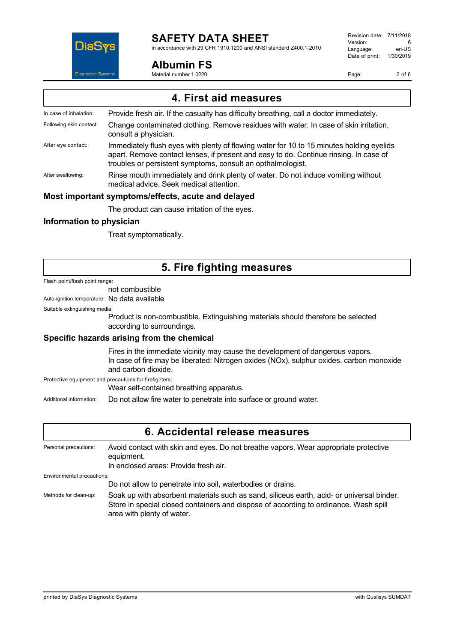

in accordance with 29 CFR 1910.1200 and ANSI standard Z400.1-2010

**Albumin FS**

Revision date: 7/11/2018 Version: 6<br>Language: en-US Language: Date of print: 1/30/2019

Page: 2 of 6

Material number 1 0220

| 4. First aid measures   |                                                                                                                                                                                                                                                  |  |
|-------------------------|--------------------------------------------------------------------------------------------------------------------------------------------------------------------------------------------------------------------------------------------------|--|
| In case of inhalation:  | Provide fresh air. If the casualty has difficulty breathing, call a doctor immediately.                                                                                                                                                          |  |
| Following skin contact: | Change contaminated clothing. Remove residues with water. In case of skin irritation,<br>consult a physician.                                                                                                                                    |  |
| After eye contact:      | Immediately flush eyes with plenty of flowing water for 10 to 15 minutes holding eyelids<br>apart. Remove contact lenses, if present and easy to do. Continue rinsing. In case of<br>troubles or persistent symptoms, consult an opthalmologist. |  |
| After swallowing:       | Rinse mouth immediately and drink plenty of water. Do not induce vomiting without<br>medical advice. Seek medical attention.                                                                                                                     |  |
|                         | Most important symptoms/effects, acute and delayed                                                                                                                                                                                               |  |
|                         | The product can cause irritation of the eyes.                                                                                                                                                                                                    |  |
|                         |                                                                                                                                                                                                                                                  |  |

#### **Information to physician**

Treat symptomatically.

## **5. Fire fighting measures**

#### Flash point/flash point range:

#### not combustible

Auto-ignition temperature: No data available

#### Suitable extinguishing media:

Product is non-combustible. Extinguishing materials should therefore be selected according to surroundings.

#### **Specific hazards arising from the chemical**

Fires in the immediate vicinity may cause the development of dangerous vapors. In case of fire may be liberated: Nitrogen oxides (NOx), sulphur oxides, carbon monoxide and carbon dioxide.

Protective equipment and precautions for firefighters:

Wear self-contained breathing apparatus.

Additional information: Do not allow fire water to penetrate into surface or ground water.

| 6. Accidental release measures |                                                                                                                                                                                                                 |  |
|--------------------------------|-----------------------------------------------------------------------------------------------------------------------------------------------------------------------------------------------------------------|--|
| Personal precautions:          | Avoid contact with skin and eyes. Do not breathe vapors. Wear appropriate protective<br>equipment.<br>In enclosed areas: Provide fresh air.                                                                     |  |
| Environmental precautions:     |                                                                                                                                                                                                                 |  |
|                                | Do not allow to penetrate into soil, waterbodies or drains.                                                                                                                                                     |  |
| Methods for clean-up:          | Soak up with absorbent materials such as sand, siliceus earth, acid- or universal binder.<br>Store in special closed containers and dispose of according to ordinance. Wash spill<br>area with plenty of water. |  |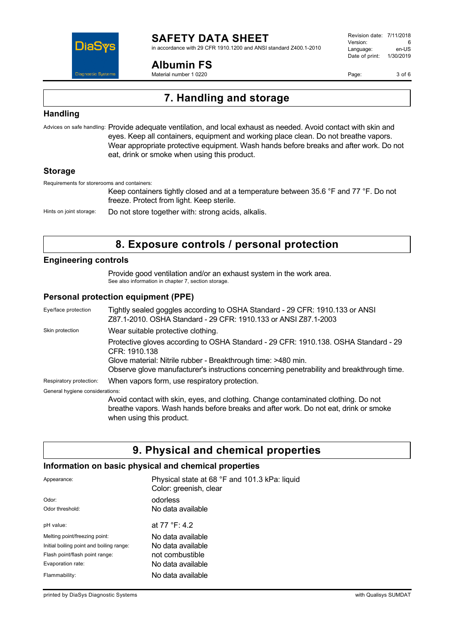

in accordance with 29 CFR 1910.1200 and ANSI standard Z400.1-2010

#### **Albumin FS**

Material number 1 0220

Revision date: 7/11/2018 Version: 6<br>Language: en-US Language: Date of print: 1/30/2019

Page: 3 of 6

## **7. Handling and storage**

#### **Handling**

Advices on safe handling: Provide adequate ventilation, and local exhaust as needed. Avoid contact with skin and eyes. Keep all containers, equipment and working place clean. Do not breathe vapors. Wear appropriate protective equipment. Wash hands before breaks and after work. Do not eat, drink or smoke when using this product.

#### **Storage**

Requirements for storerooms and containers:

Keep containers tightly closed and at a temperature between 35.6 °F and 77 °F. Do not freeze. Protect from light. Keep sterile.

Hints on joint storage: Do not store together with: strong acids, alkalis.

## **8. Exposure controls / personal protection**

#### **Engineering controls**

Provide good ventilation and/or an exhaust system in the work area. See also information in chapter 7, section storage.

#### **Personal protection equipment (PPE)**

| Eye/face protection             | Tightly sealed goggles according to OSHA Standard - 29 CFR: 1910.133 or ANSI<br>Z87.1-2010. OSHA Standard - 29 CFR: 1910.133 or ANSI Z87.1-2003                                                      |
|---------------------------------|------------------------------------------------------------------------------------------------------------------------------------------------------------------------------------------------------|
| Skin protection                 | Wear suitable protective clothing.                                                                                                                                                                   |
|                                 | Protective gloves according to OSHA Standard - 29 CFR: 1910.138. OSHA Standard - 29<br>CFR: 1910.138                                                                                                 |
|                                 | Glove material: Nitrile rubber - Breakthrough time: >480 min.<br>Observe glove manufacturer's instructions concerning penetrability and breakthrough time.                                           |
| Respiratory protection:         | When vapors form, use respiratory protection.                                                                                                                                                        |
| General hygiene considerations: |                                                                                                                                                                                                      |
|                                 | Avoid contact with skin, eyes, and clothing. Change contaminated clothing. Do not<br>breathe vapors. Wash hands before breaks and after work. Do not eat, drink or smoke<br>when using this product. |

### **9. Physical and chemical properties**

#### **Information on basic physical and chemical properties**

| Appearance:                              | Physical state at 68 °F and 101.3 kPa: liquid<br>Color: greenish, clear |
|------------------------------------------|-------------------------------------------------------------------------|
| Odor:                                    | odorless                                                                |
| Odor threshold:                          | No data available                                                       |
| pH value:                                | at 77 °F: 4.2                                                           |
| Melting point/freezing point:            | No data available                                                       |
| Initial boiling point and boiling range: | No data available                                                       |
| Flash point/flash point range:           | not combustible                                                         |
| Evaporation rate:                        | No data available                                                       |
| Flammability:                            | No data available                                                       |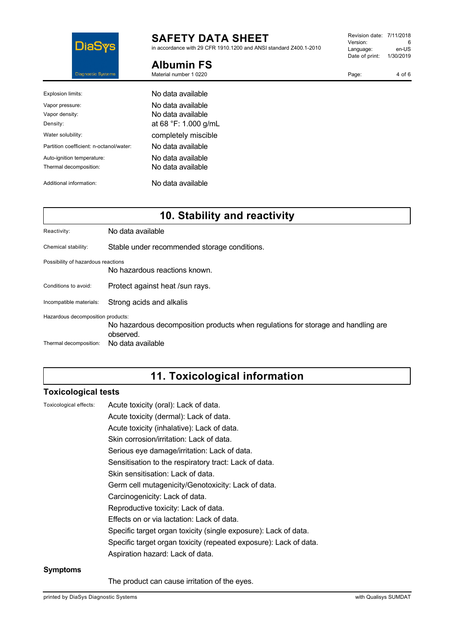

**Albumin FS** Material number 1 0220

in accordance with 29 CFR 1910.1200 and ANSI standard Z400.1-2010

Revision date: 7/11/2018 Version: 6<br>
Language: en-US Language: Date of print: 1/30/2019

Page: 4 of 6

| Explosion limits:                       | No data available.   |
|-----------------------------------------|----------------------|
| Vapor pressure:                         | No data available    |
| Vapor density:                          | No data available    |
| Density:                                | at 68 °F: 1.000 g/mL |
| Water solubility:                       | completely miscible  |
| Partition coefficient: n-octanol/water: | No data available    |
| Auto-ignition temperature:              | No data available    |
| Thermal decomposition:                  | No data available    |
| Additional information:                 | No data available    |

## **10. Stability and reactivity**

| Reactivity:                        | No data available                                                                              |
|------------------------------------|------------------------------------------------------------------------------------------------|
| Chemical stability:                | Stable under recommended storage conditions.                                                   |
| Possibility of hazardous reactions | No hazardous reactions known.                                                                  |
| Conditions to avoid:               | Protect against heat /sun rays.                                                                |
| Incompatible materials:            | Strong acids and alkalis                                                                       |
| Hazardous decomposition products:  | No hazardous decomposition products when regulations for storage and handling are<br>observed. |
| Thermal decomposition:             | No data available                                                                              |

## **11. Toxicological information**

#### **Toxicological tests**

| Toxicological effects: | L |
|------------------------|---|
|------------------------|---|

Acute toxicity (oral): Lack of data. Acute toxicity (dermal): Lack of data.

Acute toxicity (inhalative): Lack of data.

Skin corrosion/irritation: Lack of data.

Serious eye damage/irritation: Lack of data.

Sensitisation to the respiratory tract: Lack of data.

Skin sensitisation: Lack of data.

Germ cell mutagenicity/Genotoxicity: Lack of data.

- Carcinogenicity: Lack of data.
- Reproductive toxicity: Lack of data.
- Effects on or via lactation: Lack of data.

Specific target organ toxicity (single exposure): Lack of data.

Specific target organ toxicity (repeated exposure): Lack of data.

Aspiration hazard: Lack of data.

#### **Symptoms**

The product can cause irritation of the eyes.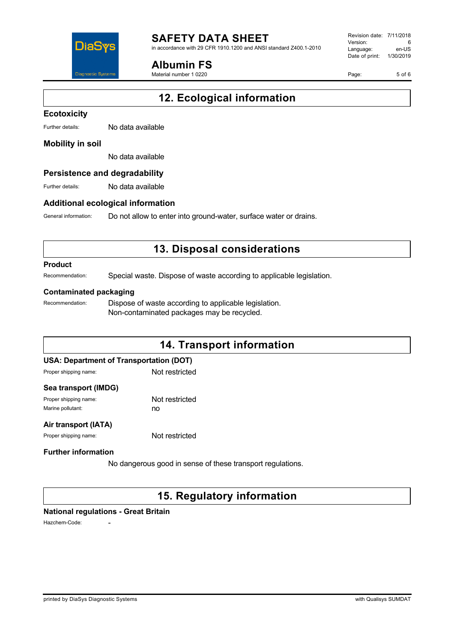

in accordance with 29 CFR 1910.1200 and ANSI standard Z400.1-2010

**Albumin FS**

Material number 1 0220

Revision date: 7/11/2018 Version: 6<br>Language: en-LIS Language: Date of print: 1/30/2019

Page: 5 of 6

# **12. Ecological information**

#### **Ecotoxicity**

Further details: No data available

#### **Mobility in soil**

No data available

#### **Persistence and degradability**

Further details: No data available

#### **Additional ecological information**

General information: Do not allow to enter into ground-water, surface water or drains.

## **13. Disposal considerations**

#### **Product**

Recommendation: Special waste. Dispose of waste according to applicable legislation.

#### **Contaminated packaging**

Recommendation: Dispose of waste according to applicable legislation. Non-contaminated packages may be recycled.

## **14. Transport information USA: Department of Transportation (DOT)**

#### Proper shipping name: Not restricted

#### **Sea transport (IMDG)**

Proper shipping name: Not restricted Marine pollutant: now no

#### **Air transport (IATA)**

Proper shipping name: Not restricted

#### **Further information**

No dangerous good in sense of these transport regulations.

## **15. Regulatory information**

#### **National regulations - Great Britain**

Hazchem-Code: